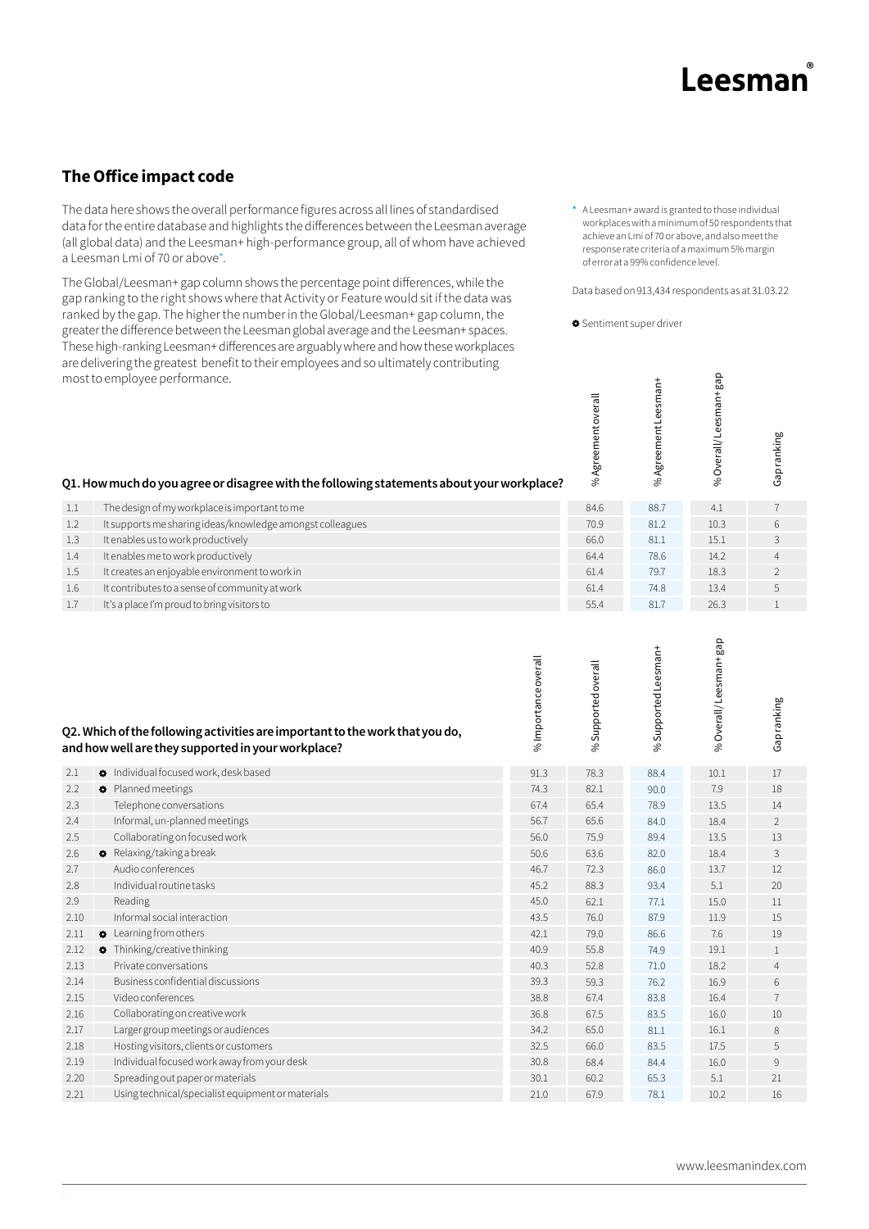## Leesmar

## **The Office impact code**

The data here shows the overall performance figures across all lines of standardised data for the entire database and highlights the differences between the Leesman average (all global data) and the Leesman+ high-performance group, all of whom have achieved a Leesman Lmi of 70 or above\*.

The Global/Leesman+ gap column shows the percentage point differences, while the gap ranking to the right shows where that Activity or Feature would sit if the data was ranked by the gap. The higher the number in the Global/Leesman+ gap column, the greater the difference between the Leesman global average and the Leesman+ spaces. These high-ranking Leesman+ differences are arguably where and how these workplaces are delivering the greatest benefit to their employees and so ultimately contributing most to employee performance.

**\*** A Leesman+ award is granted to those individual workplaces with a minimum of 50 respondents that achieve an Lmi of 70 or above, and also meet the response rate criteria of a maximum 5% margin of error at a 99% confidence level.

Data based on 913,434 respondents as at 31.03.22

gap

Sentiment super driver

|            | most to employee performance.<br>Q1. How much do you agree or disagree with the following statements about your workplace?         |                      | %Agreementoverall   | %AgreementLeesman+  | %Overall/Leesman+gap | Gapranking     |
|------------|------------------------------------------------------------------------------------------------------------------------------------|----------------------|---------------------|---------------------|----------------------|----------------|
| 1.1        | The design of my workplace is important to me                                                                                      |                      | 84.6                | 88.7                | 4.1                  | $\overline{7}$ |
| 1.2        | It supports me sharing ideas/knowledge amongst colleagues                                                                          |                      | 70.9                | 81.2                | 10.3                 | 6              |
| 1.3        | It enables us to work productively                                                                                                 |                      | 66.0                | 81.1                | 15.1                 | 3              |
| 1.4        | It enables me to work productively                                                                                                 |                      | 64.4                | 78.6                | 14.2                 | $\overline{4}$ |
| 1.5        | It creates an enjoyable environment to work in                                                                                     |                      | 61.4                | 79.7                | 18.3                 | $\overline{2}$ |
| 1.6        | It contributes to a sense of community at work                                                                                     |                      | 61.4                | 74.8                | 13.4                 | 5              |
| 1.7        | It's a place I'm proud to bring visitors to                                                                                        |                      | 55.4                | 81.7                | 26.3                 | $\mathbf{1}$   |
|            | Q2. Which of the following activities are important to the work that you do,<br>and how well are they supported in your workplace? | % Importance overall | % Supported overall | %Supported Leesman+ | %Overall/Leesman+gap | Gap ranking    |
| 2.1        | <b>O</b> Individual focused work, desk based                                                                                       | 91.3                 | 78.3                | 88.4                | 10.1                 | 17             |
| 2.2        | Planned meetings                                                                                                                   | 74.3                 | 82.1                | 90.0                | 7.9                  | 18             |
| 2.3        | Telephone conversations                                                                                                            | 67.4                 | 65.4                | 78.9                | 13.5                 | 14             |
| 2.4        | Informal, un-planned meetings                                                                                                      | 56.7                 | 65.6                | 84.0                | 18.4                 | $\overline{2}$ |
| 2.5        | Collaborating on focused work                                                                                                      | 56.0                 | 75.9                | 89.4                | 13.5                 | 13             |
| 2.6        | <b>C</b> Relaxing/taking a break                                                                                                   | 50.6                 | 63.6                | 82.0                | 18.4                 | 3              |
| 2.7        | Audio conferences                                                                                                                  | 46.7                 | 72.3                | 86.0                | 13.7                 | 12             |
| 2.8<br>2.9 | Individual routine tasks                                                                                                           | 45.2<br>45.0         | 88.3                | 93.4                | 5.1                  | 20             |
| 2.10       | Reading<br>Informal social interaction                                                                                             | 43.5                 | 62.1<br>76.0        | 77.1<br>87.9        | 15.0<br>11.9         | 11<br>15       |
| 2.11       | <b>C</b> Learning from others                                                                                                      | 42.1                 | 79.0                | 86.6                | 7.6                  | 19             |
| 2.12       | <b>O</b> Thinking/creative thinking                                                                                                | 40.9                 | 55.8                | 74.9                | 19.1                 | $\mathbf{1}$   |
| 2.13       | Private conversations                                                                                                              | 40.3                 | 52.8                | 71.0                | 18.2                 | $\overline{4}$ |
| 2.14       | Business confidential discussions                                                                                                  | 39.3                 | 59.3                | 76.2                | 16.9                 | 6              |
| 2.15       | Video conferences                                                                                                                  | 38.8                 | 67.4                | 83.8                | 16.4                 | $\overline{7}$ |
| 2.16       | Collaborating on creative work                                                                                                     | 36.8                 | 67.5                | 83.5                | 16.0                 | 10             |
| 2.17       | Larger group meetings or audiences                                                                                                 | 34.2                 | 65.0                | 81.1                | 16.1                 | 8              |
| 2.18       | Hosting visitors, clients or customers                                                                                             | 32.5                 | 66.0                | 83.5                | 17.5                 | 5              |
| 2.19       | Individual focused work away from your desk                                                                                        | 30.8                 | 68.4                | 84.4                | 16.0                 | 9              |
|            |                                                                                                                                    | 30.1                 | 60.2                | 65.3                |                      | 21             |
| 2.20       | Spreading out paper or materials                                                                                                   |                      |                     |                     | 5.1                  |                |

21.0 67.9 10.2 16 78.1

Using technical/specialist equipment or materials 2.21